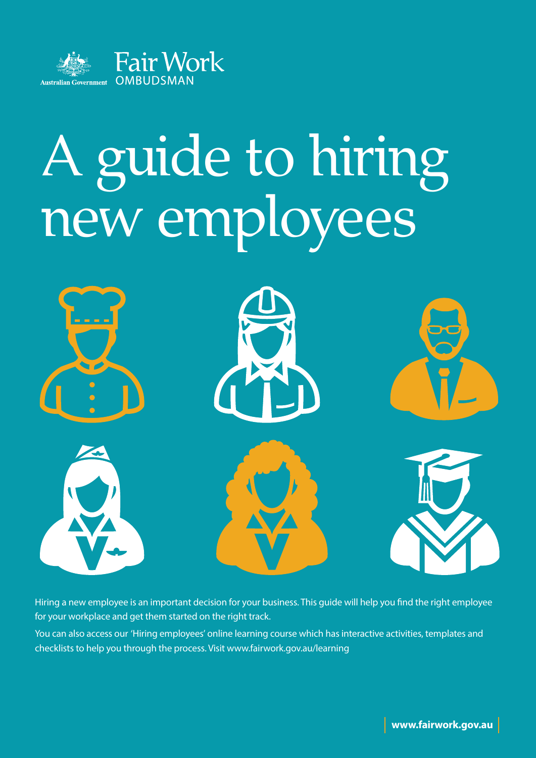

# A guide to hiring new employees



Hiring a new employee is an important decision for your business. This guide will help you find the right employee for your workplace and get them started on the right track.

You can also access our 'Hiring employees' online learning course which has interactive activities, templates and checklists to help you through the process. Visit [www.fairwork.gov.au/learning](http://www.fairwork.gov.au/learning)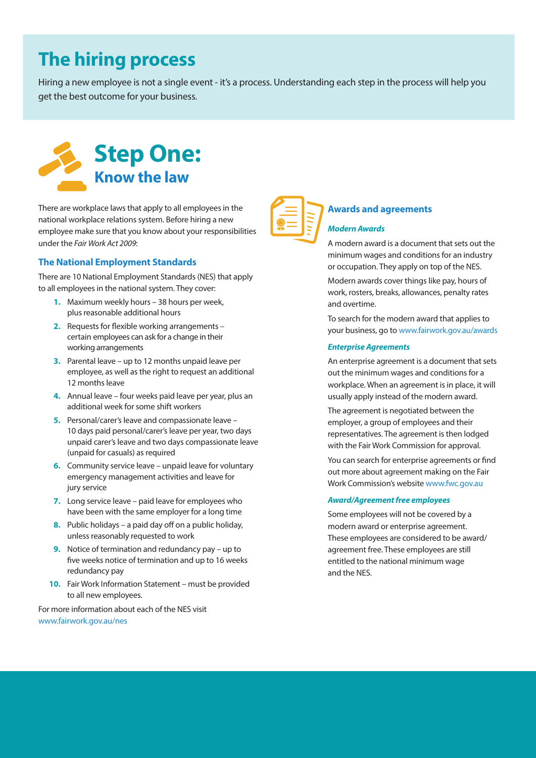## **The hiring process**

Hiring a new employee is not a single event - it's a process. Understanding each step in the process will help you get the best outcome for your business.



There are workplace laws that apply to all employees in the national workplace relations system. Before hiring a new employee make sure that you know about your responsibilities under the *Fair Work Act 2009*:

## **The National Employment Standards**

There are 10 National Employment Standards (NES) that apply to all employees in the national system. They cover:

- **1.** Maximum weekly hours 38 hours per week, plus reasonable additional hours
- **2.** Requests for flexible working arrangements certain employees can ask for a change in their working arrangements
- **3.** Parental leave up to 12 months unpaid leave per employee, as well as the right to request an additional 12 months leave
- **4.** Annual leave four weeks paid leave per year, plus an additional week for some shift workers
- **5.** Personal/carer's leave and compassionate leave 10 days paid personal/carer's leave per year, two days unpaid carer's leave and two days compassionate leave (unpaid for casuals) as required
- **6.** Community service leave unpaid leave for voluntary emergency management activities and leave for jury service
- **7.** Long service leave paid leave for employees who have been with the same employer for a long time
- **8.** Public holidays a paid day off on a public holiday, unless reasonably requested to work
- **9.** Notice of termination and redundancy pay up to five weeks notice of termination and up to 16 weeks redundancy pay
- 10. Fair Work Information Statement must be provided to all new employees.

For more information about each of the NES visit [www.fairwork.gov.au/nes](http://www.fairwork.gov.au/nes)



## **Awards and agreements**

## *Modern Awards*

A modern award is a document that sets out the minimum wages and conditions for an industry or occupation. They apply on top of the NES.

Modern awards cover things like pay, hours of work, rosters, breaks, allowances, penalty rates and overtime.

To search for the modern award that applies to your business, go to<www.fairwork.gov.au/awards>

#### *Enterprise Agreements*

An enterprise agreement is a document that sets out the minimum wages and conditions for a workplace. When an agreement is in place, it will usually apply instead of the modern award.

The agreement is negotiated between the employer, a group of employees and their representatives. The agreement is then lodged with the Fair Work Commission for approval.

You can search for enterprise agreements or find out more about agreement making on the Fair Work Commission's website [www.fwc.gov.au](http://www.fwc.gov.au)

### *Award/Agreement free employees*

Some employees will not be covered by a modern award or enterprise agreement. These employees are considered to be award/ agreement free. These employees are still entitled to the national minimum wage and the NES.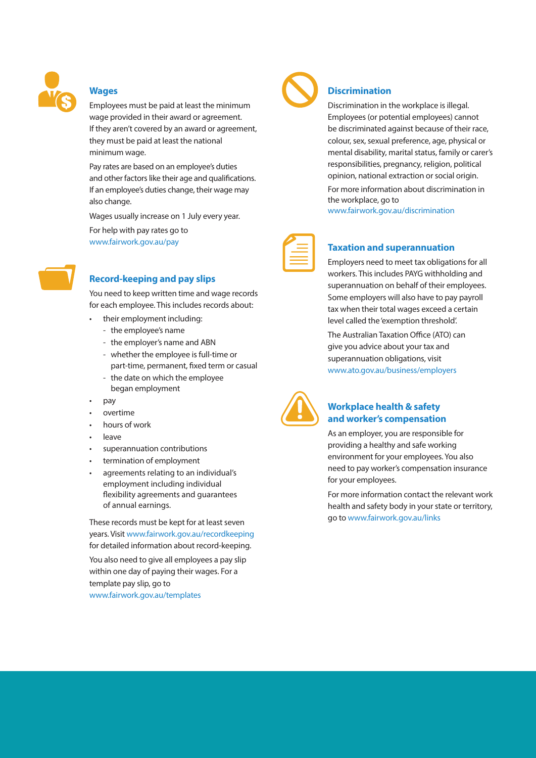

#### **Wages**

Employees must be paid at least the minimum wage provided in their award or agreement. If they aren't covered by an award or agreement, they must be paid at least the national minimum wage.

Pay rates are based on an employee's duties and other factors like their age and qualifications. If an employee's duties change, their wage may also change.

Wages usually increase on 1 July every year.

For help with pay rates go to [www.fairwork.gov.au/pay](http://www.fairwork.gov.au/pay)



## **Record-keeping and pay slips**

You need to keep written time and wage records for each employee. This includes records about:

- their employment including:
	- the employee's name
	- the employer's name and ABN
	- whether the employee is full-time or part-time, permanent, fixed term or casual
	- the date on which the employee began employment
- pay
- overtime
- hours of work
- • leave
- superannuation contributions
- termination of employment
- agreements relating to an individual's employment including individual flexibility agreements and guarantees of annual earnings.

These records must be kept for at least seven years. Visit <www.fairwork.gov.au/recordkeeping> for detailed information about record-keeping.

You also need to give all employees a pay slip within one day of paying their wages. For a template pay slip, go to

[www.fairwork.gov.au/templates](http://www.fairwork.gov.au/templates)



## **Discrimination**

Discrimination in the workplace is illegal. Employees (or potential employees) cannot be discriminated against because of their race, colour, sex, sexual preference, age, physical or mental disability, marital status, family or carer's responsibilities, pregnancy, religion, political opinion, national extraction or social origin.

For more information about discrimination in the workplace, go to

[www.fairwork.gov.au/discrimination](http://www.fairwork.gov.au/discrimination)



#### **Taxation and superannuation**

Employers need to meet tax obligations for all workers. This includes PAYG withholding and superannuation on behalf of their employees. Some employers will also have to pay payroll tax when their total wages exceed a certain level called the 'exemption threshold'.

The Australian Taxation Office (ATO) can give you advice about your tax and superannuation obligations, visit [www.ato.gov.au/business/employers](http://www.ato.gov.au/business/employers)



### **Workplace health & safety and worker's compensation**

As an employer, you are responsible for providing a healthy and safe working environment for your employees. You also need to pay worker's compensation insurance for your employees.

For more information contact the relevant work health and safety body in your state or territory, go to [www.fairwork.gov.au/links](http://www.fairwork.gov.au/links)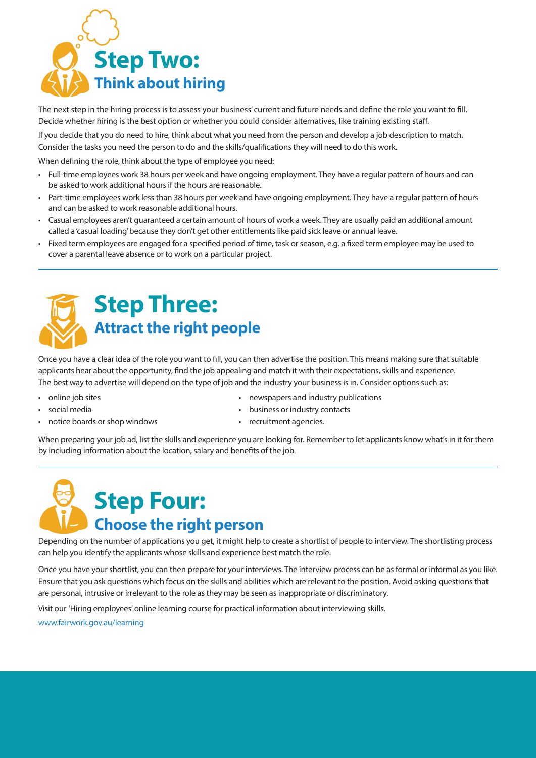

The next step in the hiring process is to assess your business' current and future needs and define the role you want to fill. Decide whether hiring is the best option or whether you could consider alternatives, like training existing staff.

If you decide that you do need to hire, think about what you need from the person and develop a job description to match. Consider the tasks you need the person to do and the skills/qualifications they will need to do this work.

When defining the role, think about the type of employee you need:

- • Full-time employees work 38 hours per week and have ongoing employment. They have a regular pattern of hours and can be asked to work additional hours if the hours are reasonable.
- • Part-time employees work lessthan 38 hours per week and have ongoing employment. They have a regular pattern of hours and can be asked to work reasonable additional hours.
- • Casual employees aren't guaranteed a certain amount of hours of work a week. They are usually paid an additional amount called a 'casual loading' because they don't get other entitlements like paid sick leave or annual leave.
- • Fixed term employees are engaged for a specified period of time, task orseason, e.g. a fixed term employee may be used to cover a parental leave absence or to work on a particular project.



Once you have a clear idea of the role you want to fill, you can then advertise the position. This means making sure that suitable applicants hear about the opportunity, find the job appealing and match it with their expectations, skills and experience. The best way to advertise will depend on the type of job and the industry your business is in. Consider options such as:

- online job sites
- social media
- notice boards or shop windows
- • newspapers and industry publications
- business or industry contacts
- recruitment agencies.

When preparing your job ad, list the skills and experience you are looking for. Remember to let applicants know what's in it for them by including information about the location, salary and benefits of the job.

## **Step Four: Choose the right person**

Depending on the number of applications you get, it might help to create a shortlist of people to interview. The shortlisting process can help you identify the applicants whose skills and experience best match the role.

Once you have your shortlist, you can then prepare for your interviews. The interview process can be as formal or informal as you like. Ensure that you ask questions which focus on the skills and abilities which are relevant to the position. Avoid asking questions that are personal, intrusive or irrelevant to the role as they may be seen as inappropriate or discriminatory.

Visit our 'Hiring employees' online learning course for practical information about interviewing skills.

[www.fairwork.gov.au/learning](http://www.fairwork.gov.au/learning)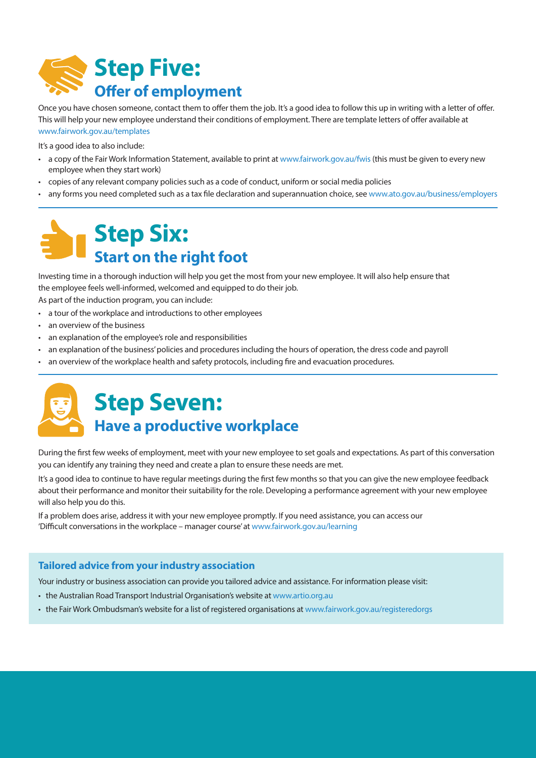

Once you have chosen someone, contact them to offer them the job. It's a good idea to follow this up in writing with a letter of offer. This will help your new employee understand their conditions of employment. There are template letters of offer available at [www.fairwork.gov.au/templates](http://www.fairwork.gov.au/templates)

It's a good idea to also include:

- • a copy of the Fair Work Information Statement, available to print at [www.fairwork.gov.au/fwis](http://www.fairwork.gov.au/fwis) (this must be given to every new employee when they start work)
- copies of any relevant company policies such as a code of conduct, uniform or social media policies
- any forms you need completed such as a tax file declaration and superannuation choice, see <www.ato.gov.au/business/employers>

## **Step Six: Start on the right foot**

Investing time in a thorough induction will help you get the most from your new employee. It will also help ensure that the employee feels well-informed, welcomed and equipped to do their job.

As part of the induction program, you can include:

- a tour of the workplace and introductions to other employees
- • an overview of the business
- an explanation of the employee's role and responsibilities
- an explanation of the business' policies and procedures including the hours of operation, the dress code and payroll
- an overview of the workplace health and safety protocols, including fire and evacuation procedures.



## **Step Seven: Have a productive workplace**

During the first few weeks of employment, meet with your new employee to set goals and expectations. As part of this conversation you can identify any training they need and create a plan to ensure these needs are met.

It's a good idea to continue to have regular meetings during the first few months so that you can give the new employee feedback about their performance and monitor their suitability for the role. Developing a performance agreement with your new employee will also help you do this.

If a problem does arise, address it with your new employee promptly. If you need assistance, you can access our 'Difficult conversations in the workplace – manager course' at [www.fairwork.gov.au/learning](http://www.fairwork.gov.au/learning)

## **Tailored advice from your industry association**

Your industry or business association can provide you tailored advice and assistance. For information please visit:

- the Australian Road Transport Industrial Organisation's website at [www.artio.org.au](http://www.artio.org.au)
- the Fair Work Ombudsman's website for a list of registered organisations at <www.fairwork.gov.au/registeredorgs>